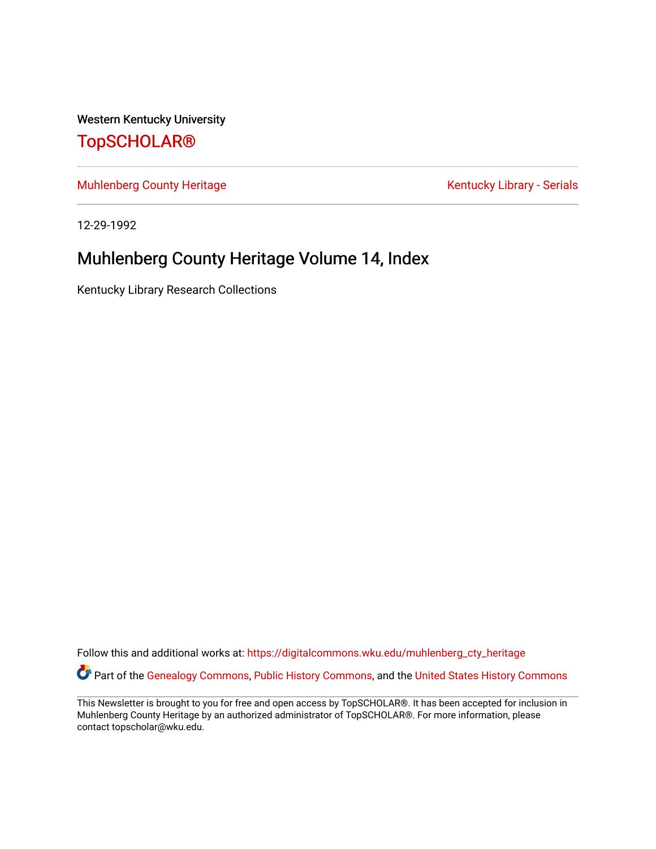Western Kentucky University

## [TopSCHOLAR®](https://digitalcommons.wku.edu/)

[Muhlenberg County Heritage](https://digitalcommons.wku.edu/muhlenberg_cty_heritage) **Kentucky Library - Serials** Kentucky Library - Serials

12-29-1992

# Muhlenberg County Heritage Volume 14, Index

Kentucky Library Research Collections

Follow this and additional works at: [https://digitalcommons.wku.edu/muhlenberg\\_cty\\_heritage](https://digitalcommons.wku.edu/muhlenberg_cty_heritage?utm_source=digitalcommons.wku.edu%2Fmuhlenberg_cty_heritage%2F91&utm_medium=PDF&utm_campaign=PDFCoverPages)  Part of the [Genealogy Commons,](http://network.bepress.com/hgg/discipline/1342?utm_source=digitalcommons.wku.edu%2Fmuhlenberg_cty_heritage%2F91&utm_medium=PDF&utm_campaign=PDFCoverPages) [Public History Commons](http://network.bepress.com/hgg/discipline/1292?utm_source=digitalcommons.wku.edu%2Fmuhlenberg_cty_heritage%2F91&utm_medium=PDF&utm_campaign=PDFCoverPages), and the United States History Commons

This Newsletter is brought to you for free and open access by TopSCHOLAR®. It has been accepted for inclusion in Muhlenberg County Heritage by an authorized administrator of TopSCHOLAR®. For more information, please contact topscholar@wku.edu.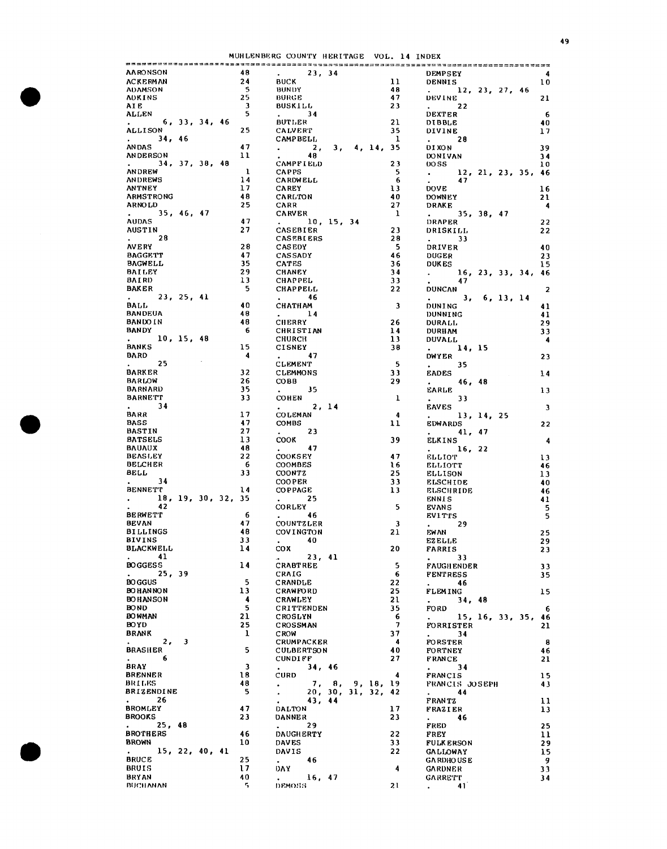MUHLENBERG COUNTY HERITAGE VOL. 14 INDEX

| <b>AARONSON</b>                                   |                |                    | 48                      | . 23, 34                                                                                                                                                                                                                                  |                 |              | <b>DEMPSEY</b>                                                        | -4                      |
|---------------------------------------------------|----------------|--------------------|-------------------------|-------------------------------------------------------------------------------------------------------------------------------------------------------------------------------------------------------------------------------------------|-----------------|--------------|-----------------------------------------------------------------------|-------------------------|
| ACKERMAN                                          |                |                    | 24                      | <b>BUCK</b>                                                                                                                                                                                                                               |                 | 11           | DENNIS                                                                | 10                      |
| <b>ADAMSON</b>                                    |                |                    | - 5                     | BUNDY                                                                                                                                                                                                                                     |                 | 48           | 12, 23, 27, 46                                                        |                         |
| ADKINS                                            |                |                    | 25                      | BURGE                                                                                                                                                                                                                                     |                 | 47           | <b>DEVINE</b>                                                         | 21                      |
| AIE                                               |                |                    | $\overline{\mathbf{3}}$ | BUSKILL                                                                                                                                                                                                                                   |                 | 23           | $\bullet$ .<br><br><br><br><br><br><br><br><br><br><br><br><br><br>22 |                         |
| ALLEN                                             |                |                    | 5                       | . 34                                                                                                                                                                                                                                      |                 |              | <b>DEXTER</b>                                                         | 6                       |
|                                                   | 6, 33, 34, 46  |                    |                         | <b>BUTLER</b>                                                                                                                                                                                                                             |                 | 21           | <b>DIBBLE</b>                                                         | 40                      |
| <b>ALLISON</b>                                    |                |                    | 25                      | <b>CALVERT</b>                                                                                                                                                                                                                            |                 | 35           | <b>DIVINE</b>                                                         | 17                      |
| 34, 46                                            |                |                    |                         | <b>CAMPBELL</b>                                                                                                                                                                                                                           |                 | $\mathbf{1}$ | $\mathbf{r} = \mathbf{r}$ .<br>28                                     |                         |
| ANDAS                                             |                |                    | 47                      |                                                                                                                                                                                                                                           |                 |              |                                                                       |                         |
|                                                   |                |                    |                         | $\sim$ 2,                                                                                                                                                                                                                                 | 3, 4, 14, 35    |              | <b>DI XON</b>                                                         | 39                      |
| <b>ANDERSON</b>                                   |                |                    | 11                      | 48                                                                                                                                                                                                                                        |                 |              | DONIVAN                                                               | 34                      |
|                                                   | 34, 37, 38, 48 |                    |                         | <b>CAMPFIELD</b>                                                                                                                                                                                                                          |                 | 23           | <b>DOSS</b>                                                           | 10                      |
| ANDREW                                            |                |                    | $\mathbf{1}$            | <b>CAPPS</b>                                                                                                                                                                                                                              |                 | - 5          | 12, 21, 23, 35, 46<br>$\mathbb{R}^{n}$                                |                         |
| ANDREWS                                           |                |                    | 14                      | <b>CARDWELL</b>                                                                                                                                                                                                                           |                 | - 6          | 47                                                                    |                         |
| ANTNEY                                            |                |                    | 17                      | <b>CAREY</b>                                                                                                                                                                                                                              |                 | 13           | <b>DOVE</b>                                                           | 16                      |
| ARMSTRONG                                         |                |                    | 48                      | <b>CARLTON</b>                                                                                                                                                                                                                            |                 | 40           | DOWNEY                                                                | 21                      |
| <b>ARNOLD</b>                                     |                |                    | 25                      | <b>CARR</b>                                                                                                                                                                                                                               |                 | 27           | <b>DRAKE</b>                                                          | $\overline{\mathbf{4}}$ |
|                                                   | 35, 46, 47     |                    |                         | <b>CARVER</b>                                                                                                                                                                                                                             |                 | $\mathbf{1}$ | 35, 38, 47                                                            |                         |
| <b>AUDAS</b>                                      |                |                    | 47                      | . 10, 15, 34                                                                                                                                                                                                                              |                 |              | DRAPER                                                                | 22                      |
| <b>AUSTIN</b>                                     |                |                    | 27                      | <b>CASEBIER</b>                                                                                                                                                                                                                           |                 | 23           | DRISKILL                                                              | 22                      |
| $\mathbf{L} = \mathbf{L} \times \mathbf{L}$<br>28 |                |                    |                         | <b>CASEBLERS</b>                                                                                                                                                                                                                          |                 | 28           | $\sim$ 100 $\sim$<br>-33                                              |                         |
| <b>AVERY</b>                                      |                |                    | 28                      |                                                                                                                                                                                                                                           |                 | - 5          |                                                                       |                         |
|                                                   |                |                    |                         | <b>CASEDY</b>                                                                                                                                                                                                                             |                 |              | DRIVER                                                                | 40                      |
| <b>BAGGETT</b>                                    |                |                    | 47                      | <b>CASSADY</b>                                                                                                                                                                                                                            |                 | 46           | <b>DUGER</b>                                                          | 23                      |
| <b>BAGWELL</b>                                    |                |                    | 35                      | <b>CATES</b>                                                                                                                                                                                                                              |                 | 36           | <b>DUKES</b>                                                          | 15                      |
| BAILEY                                            |                |                    | 29                      | <b>CHANEY</b>                                                                                                                                                                                                                             |                 | 34           | $\frac{16}{47}$ , 23, 33, 34, 46                                      |                         |
| <b>BAIRD</b>                                      |                |                    | 13                      | <b>CHAPPEL</b>                                                                                                                                                                                                                            |                 | 33           | 47                                                                    |                         |
| <b>BAKER</b>                                      |                |                    | - 5                     | <b>CHAPPELL</b>                                                                                                                                                                                                                           |                 | 22           | <b>DUNCAN</b>                                                         | $\overline{2}$          |
| 23, 25, 41                                        |                |                    |                         | $\mathbf{L}$ and $\mathbf{L}$<br>46                                                                                                                                                                                                       |                 |              | 3, 6, 13, 14<br>$\mathbf{L}$ and $\mathbf{L}$                         |                         |
| BALL                                              |                |                    | 40                      | <b>СНАТНАМ</b>                                                                                                                                                                                                                            |                 | 3            | DUNING                                                                | 41                      |
| <b>BANDEUA</b>                                    |                |                    | 48                      |                                                                                                                                                                                                                                           |                 |              |                                                                       |                         |
|                                                   |                |                    |                         | $\sim$ 14                                                                                                                                                                                                                                 |                 |              | DUNNING                                                               | 41                      |
| BANDO IN                                          |                |                    | 48                      | <b>CHERRY</b>                                                                                                                                                                                                                             |                 | 26           | <b>DURALL</b>                                                         | 29                      |
| <b>BANDY</b>                                      |                |                    | 6                       | <b>CHRISTIAN</b>                                                                                                                                                                                                                          |                 | 14           | DURHAM                                                                | 33                      |
| 10, 15, 48                                        |                |                    |                         | <b>CHURCH</b>                                                                                                                                                                                                                             |                 | 13           | <b>DUVALL</b>                                                         | 4                       |
| <b>BANKS</b>                                      |                |                    | 15                      | <b>CISNEY</b>                                                                                                                                                                                                                             |                 | 38           | 14, 15<br>$\omega_{\rm{max}}$                                         |                         |
| BARD                                              |                |                    | -4                      | $\mathbf{r} = \mathbf{r}$ , $\mathbf{r} = \mathbf{r}$<br>47                                                                                                                                                                               |                 |              | <b>DWYER</b>                                                          | 23                      |
| 25                                                |                |                    |                         | <b>CLEMENT</b>                                                                                                                                                                                                                            |                 | 5            | $\mathbf{z}$ and $\mathbf{z}$<br>35.                                  |                         |
| <b>BARKER</b>                                     |                |                    | 32                      | <b>CLEMMONS</b>                                                                                                                                                                                                                           |                 | 33           | <b>EADES</b>                                                          | 14                      |
| <b>BARLOW</b>                                     |                |                    | 26                      | <b>COBB</b>                                                                                                                                                                                                                               |                 | 29           |                                                                       |                         |
|                                                   |                |                    | 35                      |                                                                                                                                                                                                                                           |                 |              | $\mathbf{z} = \mathbf{z} \times \mathbf{z}$ .<br>46, 48               |                         |
| BARNARD                                           |                |                    |                         | $\mathbf{z} = \mathbf{z}$ .<br>35                                                                                                                                                                                                         |                 |              | EARLE                                                                 | 13                      |
| <b>BARNETT</b>                                    |                |                    | 33                      | <b>COHEN</b>                                                                                                                                                                                                                              |                 | 1            | 33<br>$\mathbf{r}$ . The $\mathbf{r}$                                 |                         |
| $\mathbf{L}$<br>34                                |                |                    |                         | $\sim$ $\sim$ $\sim$<br>2, 14                                                                                                                                                                                                             |                 |              | <b>EAVES</b>                                                          | $\mathbf{3}$            |
| BARR                                              |                |                    | 17                      | <b>COLEMAN</b>                                                                                                                                                                                                                            |                 | 4            | $\mathbf{r} = \mathbf{r}$ .<br>13, 14, 25                             |                         |
| <b>BASS</b>                                       |                |                    | 47                      | <b>COMBS</b>                                                                                                                                                                                                                              |                 | 11           | <b>EDWARDS</b>                                                        | 22                      |
| <b>BASTIN</b>                                     |                |                    | 27                      | 23                                                                                                                                                                                                                                        |                 |              | 41, 47<br>$\mathcal{L}^{\text{max}}$                                  |                         |
| <b>BATSELS</b>                                    |                |                    | 13                      | COOK                                                                                                                                                                                                                                      |                 | 39           | ELKINS                                                                | $\overline{\mathbf{4}}$ |
| <b>BAUAUX</b>                                     |                |                    | 48                      | -47<br>$\bullet$ . The set of the set of the set of the set of the set of the set of the set of the set of the set of the set of the set of the set of the set of the set of the set of the set of the set of the set of the set of the s |                 |              | 16, 22                                                                |                         |
| <b>BEASLEY</b>                                    |                |                    | 22                      | <b>COOKSEY</b>                                                                                                                                                                                                                            |                 | 47           | ELLIOT.                                                               |                         |
| <b>BELCHER</b>                                    |                |                    | -6                      |                                                                                                                                                                                                                                           |                 |              |                                                                       | 13                      |
|                                                   |                |                    |                         | <b>COOMBES</b>                                                                                                                                                                                                                            |                 | 16           | <b>ELLIOTT</b>                                                        | 46                      |
| BELL                                              |                |                    | 33                      | <b>COONTZ</b>                                                                                                                                                                                                                             |                 | 25           | <b>ELLISON</b>                                                        | 13                      |
| 34                                                |                |                    |                         | <b>COOPER</b>                                                                                                                                                                                                                             |                 | 33           | <b>ELSCHIDE</b>                                                       | 40                      |
| <b>BENNETT</b>                                    |                |                    | 14                      | <b>COPPAGE</b>                                                                                                                                                                                                                            |                 | 13           | <b>ELSCHRIDE</b>                                                      | 46                      |
|                                                   |                | 18, 19, 30, 32, 35 |                         | $\mathbf{L}$ and $\mathbf{L}$ and $\mathbf{L}$<br>25                                                                                                                                                                                      |                 |              | <b>ENNIS</b>                                                          | 41                      |
| 42                                                |                |                    |                         | <b>CORLEY</b>                                                                                                                                                                                                                             |                 | -5           | <b>EVANS</b>                                                          | $\sf 5$                 |
| <b>BERWETT</b>                                    |                |                    |                         |                                                                                                                                                                                                                                           |                 |              |                                                                       |                         |
| <b>BEVAN</b>                                      |                |                    |                         |                                                                                                                                                                                                                                           |                 |              |                                                                       |                         |
| <b>BILLINGS</b>                                   |                |                    | 6                       | $\frac{1}{2}$ 46                                                                                                                                                                                                                          |                 |              | <b>EVITTS</b>                                                         | 5                       |
|                                                   |                |                    | 47                      | <b>COUNTZLER</b>                                                                                                                                                                                                                          |                 | 3            | $\mathbf{A}^{(1)}$ and $\mathbf{A}^{(2)}$<br>29                       |                         |
|                                                   |                |                    | 48                      | COVINGTON                                                                                                                                                                                                                                 |                 | 21           | EWAN                                                                  | 25                      |
| <b>BIVINS</b>                                     |                |                    | 33                      | -40<br>$\mathbf{r}$                                                                                                                                                                                                                       |                 |              | <b>EZELLE</b>                                                         | 29                      |
| <b>BLACKWELL</b>                                  |                |                    | 14                      | COX                                                                                                                                                                                                                                       |                 | 20           | FARRIS                                                                | 23                      |
| 41                                                |                |                    |                         | $\omega_{\rm{max}}$<br>23, 41                                                                                                                                                                                                             |                 |              | $\bullet$<br>33                                                       |                         |
| <b>BOGGESS</b>                                    |                |                    | 14                      | <b>CRABTREE</b>                                                                                                                                                                                                                           |                 | 5            | <b>FAUGHENDER</b>                                                     | 33                      |
| 25, 39                                            |                |                    |                         | CRAIG                                                                                                                                                                                                                                     |                 | 6            | <b>FENTRESS</b>                                                       | 35                      |
| <b>BOGGUS</b>                                     |                |                    | 5.                      | <b>CRANDLE</b>                                                                                                                                                                                                                            |                 | 22           | 46<br>$\mathbf{L}^{\text{max}}$                                       |                         |
| <b>BO HAN NON</b>                                 |                |                    | 13                      | <b>CRAWFORD</b>                                                                                                                                                                                                                           |                 | 25           | <b>FLEMING</b>                                                        |                         |
|                                                   |                |                    | 4                       |                                                                                                                                                                                                                                           |                 |              |                                                                       | 15 <sub>1</sub>         |
| <b>BOHANSON</b>                                   |                |                    |                         | <b>CRAWLEY</b>                                                                                                                                                                                                                            |                 | 21           | 34, 48<br>$\bullet$ . The set of $\bullet$                            |                         |
| <b>BOND</b>                                       |                |                    | 5                       | CRITTENDEN                                                                                                                                                                                                                                |                 | 35           | FORD                                                                  | 6                       |
| <b>BOWMAN</b>                                     |                |                    | 21                      | <b>CROSLYN</b>                                                                                                                                                                                                                            |                 | 6            | 15, 16, 33, 35.<br>$\sim$                                             | 46                      |
| <b>BOYD</b>                                       |                |                    | 25                      | <b>CROSSMAN</b>                                                                                                                                                                                                                           |                 | 7            | FORRISTER                                                             | 21                      |
| <b>BRANK</b>                                      |                |                    | 1                       | <b>CROW</b>                                                                                                                                                                                                                               |                 | 37           | 34                                                                    |                         |
| $\mathbf{2}$ ,<br>$\bullet$ . The $\bullet$       | 3              |                    |                         | <b>CRUMPACKER</b>                                                                                                                                                                                                                         |                 | 4            | <b>FORSTER</b>                                                        | 8                       |
| <b>BRASHER</b>                                    |                |                    | 5                       | <b>CULBERTSON</b>                                                                                                                                                                                                                         |                 | 40           | <b>FORTNEY</b>                                                        | 46                      |
| -6                                                |                |                    |                         | <b>CUNDIFF</b>                                                                                                                                                                                                                            |                 | 27           | <b>FRANCE</b>                                                         | 21                      |
| <b>BRAY</b>                                       |                |                    | 3                       | $\mathbf{r}$                                                                                                                                                                                                                              |                 |              |                                                                       |                         |
| <b>BRENNER</b>                                    |                |                    | 18                      | 34, 46<br><b>CURD</b>                                                                                                                                                                                                                     |                 | 4            | 34                                                                    |                         |
| BRILES                                            |                |                    |                         |                                                                                                                                                                                                                                           |                 |              | FRANCIS                                                               | 15                      |
|                                                   |                |                    | 48                      |                                                                                                                                                                                                                                           | 7, 8, 9, 18,    | 19           | <b>FRANCIS JOSEPH</b>                                                 | 43                      |
| BRIZENDINE                                        |                |                    | 5                       |                                                                                                                                                                                                                                           | 20, 30, 31, 32, | 42           | 44                                                                    |                         |
| 26<br>$\ddot{\phantom{0}}$                        |                |                    |                         | 43, 44<br>$\bullet$ .                                                                                                                                                                                                                     |                 |              | FRANTZ                                                                | 11                      |
| <b>BROMLEY</b>                                    |                |                    | 47                      | <b>DALTON</b>                                                                                                                                                                                                                             |                 | 17           | FRAZIER                                                               | 13                      |
| <b>BROOKS</b>                                     |                |                    | 23                      | DANNER                                                                                                                                                                                                                                    |                 | 23           | 46<br>$\mathbf{r}$                                                    |                         |
| 25, 48<br>$\mathbf{A}$ and $\mathbf{A}$           |                |                    |                         | 29<br>$\bullet$ . The set of $\bullet$                                                                                                                                                                                                    |                 |              | FRED                                                                  | 25                      |
| <b>BROTHERS</b>                                   |                |                    | 46                      | <b>DAUGHERTY</b>                                                                                                                                                                                                                          |                 | 22           | FREY                                                                  | 11                      |
| <b>BROWN</b>                                      |                |                    | 10                      | <b>DAVES</b>                                                                                                                                                                                                                              |                 | 33           | <b>FULK ERSON</b>                                                     | 29                      |
|                                                   |                |                    |                         |                                                                                                                                                                                                                                           |                 |              |                                                                       |                         |
| 15, 22, 40, 41<br>$\mathbf{z} = \mathbf{z}$       |                |                    |                         | DAVIS                                                                                                                                                                                                                                     |                 | 22           | <b>GALIOWAY</b>                                                       | 15                      |
| <b>BRUCE</b>                                      |                |                    | 25                      | 46<br>$\bullet$ .                                                                                                                                                                                                                         |                 |              | <b>GARDHOUSE</b>                                                      | -9                      |
| BRUIS                                             |                |                    | 17                      | DAY.                                                                                                                                                                                                                                      |                 | 4            | <b>GARDNER</b>                                                        | 33                      |
| <b>BRYAN</b><br><b>BUCHANAN</b>                   |                |                    | 40<br>5                 | 16, 47<br>$\ddotsc$<br>DEMOSS                                                                                                                                                                                                             |                 | 21           | <b>GARRETT</b><br>41<br>$\bullet$ . The set of $\mathcal{O}$          | 34                      |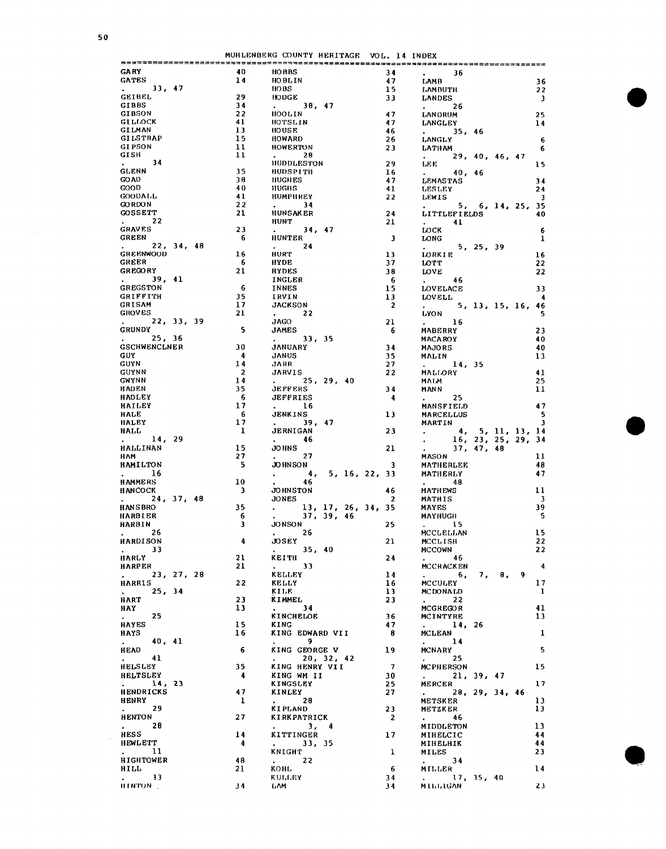$\mathcal{A}^{\mathcal{A}}$ 

|                                                                   |                         | MUHLENBERG COUNTY HERITAGE VOL. 14 INDEX                        |                         |                                                                           |                         |
|-------------------------------------------------------------------|-------------------------|-----------------------------------------------------------------|-------------------------|---------------------------------------------------------------------------|-------------------------|
| <b>GARY</b>                                                       | 40                      | <b>HOBBS</b>                                                    | 34                      | $\mathbf{r} = \mathbf{r}$<br>36                                           |                         |
| <b>GATES</b>                                                      | 14                      | <b>HOBLIN</b>                                                   | 47                      | <b>LAMB</b>                                                               | 36                      |
| . 33, 47                                                          |                         | HOBS                                                            | 15                      | <b>LAMBUTH</b>                                                            | -22                     |
| GEIBEL                                                            | 29                      | HODGE                                                           | 33                      | LANDES                                                                    |                         |
| <b>GIBBS</b>                                                      | 34                      | . 38, 47                                                        |                         |                                                                           | $\overline{\mathbf{3}}$ |
| GIBSON                                                            | 22                      | HOOLIN                                                          | 47                      | $\sim 26$                                                                 |                         |
| <b>GILLOCK</b>                                                    | 41                      | HOTSLIN                                                         |                         | LANDRUM                                                                   | 25                      |
| <b>GILMAN</b>                                                     | 13                      | HOUSE                                                           | 47                      | <b>LANGLEY</b>                                                            | 14                      |
| GILSTRAP                                                          | 15                      |                                                                 | 46                      | . 35, 46                                                                  |                         |
|                                                                   |                         | <b>HOWARD</b>                                                   | 26                      | <b>LANGLY</b>                                                             | $-6$                    |
| <b>GIPSON</b>                                                     | $\mathbf{11}$           | HOWERTON                                                        | 23                      | <b>LATH AM</b>                                                            | - 6                     |
| GISH                                                              | 11                      | $\sim 28$                                                       |                         | . 29, 40, 46, 47                                                          |                         |
| . 34                                                              |                         | <b>HUDDLESTON</b>                                               | 29                      | LEE                                                                       | 15                      |
| <b>GLENN</b>                                                      | 35                      | HUDSPITH                                                        | 16                      | . 40, 46                                                                  |                         |
| <b>GO AD</b>                                                      | 38                      | <b>HUGHES</b>                                                   | 47                      | <b>LEMASTAS</b>                                                           | 34                      |
| <b>GOOD</b>                                                       | 40                      | HUGHS                                                           | 41                      | LESLEY                                                                    | 24                      |
| <b>GOODALL</b>                                                    | 41                      | <b>HUMPHREY</b>                                                 | 22                      | <b>LEWIS</b>                                                              | $\overline{\mathbf{3}}$ |
| <b>GO RDON</b>                                                    | 22                      | $\sim$ 34                                                       |                         | 5, 6, 14, 25, 35                                                          |                         |
| <b>GOSSETT</b>                                                    | 21                      | <b>HUNSAKER</b>                                                 | 24                      | <b>LITTLEFIELDS</b>                                                       | 40                      |
| $\mathbf{r} = \mathbf{r}$ .<br>-22                                |                         | HUNT                                                            | 21                      | $\sim$ 41                                                                 |                         |
| <b>GRAVES</b>                                                     | 23                      | $-34, 47$                                                       |                         | LOCK                                                                      | - 6                     |
| GREEN                                                             | - 6                     | <b>HUNTER</b>                                                   | $\overline{\mathbf{3}}$ | LONG<br>LONG 5, 25, 39                                                    | $\mathbf{1}$            |
| 22, 34, 48                                                        |                         | $\mathbf{L}^{\text{max}}$<br>24                                 |                         |                                                                           |                         |
| <b>GREENWOOD</b>                                                  | 16                      | <b>HURT</b>                                                     | 13                      | <b>LORKIE</b>                                                             | 16                      |
| GREER                                                             | - 6                     | HYDE                                                            | 37                      | <b>LOTT</b>                                                               | 22                      |
| <b>GREGORY</b>                                                    | 21                      | <b>HYDES</b>                                                    | 38                      | LOVE                                                                      | 22                      |
| $\mathbf{z}$ and $\mathbf{z}$<br>39, 41                           |                         | INGLER                                                          | - 6                     | 46<br>$\mathbf{L}$ and $\mathbf{L}$                                       |                         |
| <b>GREGSTON</b>                                                   | - 6                     | INNES                                                           | 15                      | <b>LOVELACE</b>                                                           | 33                      |
| <b>GRIFFITH</b>                                                   | 35                      | IRVIN                                                           | 13                      | <b>LOAEPT</b>                                                             | $\overline{\mathbf{4}}$ |
| <b>GRISAM</b>                                                     | 17 <sub>2</sub>         | <b>JACKSON</b>                                                  | $\overline{\mathbf{2}}$ | . 5, 13, 15, 16, 46                                                       |                         |
| <b>GROVES</b>                                                     | 21                      | $\sim 22$                                                       |                         | LYON                                                                      | -5                      |
| . 22, 33, 39                                                      |                         | <b>JAGO</b>                                                     | 21                      | $\mathbf{L} = \mathbf{0}$ .<br>16                                         |                         |
| <b>GRUNDY</b>                                                     | - 5                     | <b>JAMES</b>                                                    | - 6                     | <b>MABERRY</b>                                                            | 23                      |
| $\mathbf{L}^{\text{max}}$ and $\mathbf{L}^{\text{max}}$<br>25, 36 |                         | . 33, 35                                                        |                         |                                                                           |                         |
|                                                                   |                         |                                                                 |                         | <b>MACA ROY</b>                                                           | 40                      |
| <b>GSCHWENCLNER</b>                                               | 30                      | <b>JANUARY</b>                                                  | 34                      | <b>MAJORS</b>                                                             | 40                      |
| <b>GUY</b>                                                        | $\overline{4}$          | JANUS                                                           | 35                      | <b>MALIN</b>                                                              | 13                      |
| GUYN                                                              | 14                      | JARR                                                            | 27                      | 14, 35                                                                    |                         |
| <b>GUYNN</b>                                                      | $\overline{2}$          | JARVIS                                                          | 22                      | MALLORY                                                                   | 41                      |
| <b>GMYNN</b>                                                      | 14                      | . 25, 29, 40                                                    |                         | <b>MATM</b>                                                               | 25                      |
| HADEN                                                             | 35                      | <b>JEFFERS</b>                                                  | 34                      | <b>MANN</b>                                                               | 11                      |
| <b>HADLEY</b>                                                     | - 6                     | <b>JEFFRIES</b>                                                 | $\overline{\mathbf{4}}$ | $\mathbf{L}$ and $\mathbf{L}$<br>25                                       |                         |
| HAILEY                                                            | 17                      | $\frac{16}{16}$                                                 |                         | <b>MANSFIELD</b>                                                          | 47                      |
| HALE                                                              | - 6                     | JENKINS                                                         | 13                      | <b>MARCELLUS</b>                                                          | - 5                     |
| <b>HALEY</b>                                                      | 17                      | 39, 47<br><b>Service</b>                                        |                         | MARTIN                                                                    | $\overline{\mathbf{3}}$ |
| HALL                                                              | $\mathbf{1}$            | <b>JERNIGAN</b>                                                 | 23                      | 4, 5, 11, 13, 14                                                          |                         |
| 14, 29<br>$\bullet$ . The set of $\mathcal{O}$                    |                         | $\bullet$ . The set of $\mathcal{O}$<br>-46                     |                         | 16, 23, 25, 29, 34                                                        |                         |
| HALLINAN                                                          | 15 <sub>1</sub>         | JO HNS                                                          | 21                      | $\Delta \sim 10^{-10}$<br>37, 47, 48                                      |                         |
| НАМ                                                               | 27                      | 27<br>$\mathbf{A}$ and $\mathbf{A}$ and $\mathbf{A}$            |                         | MASON                                                                     | $\mathbf{11}$           |
| HAMILTON                                                          | 5                       | <b>JOHNSON</b>                                                  | $\overline{\mathbf{3}}$ | <b>MATHERLEE</b>                                                          | 48                      |
| $\cdot$ 16                                                        |                         | 4, 5, 16, 22, 33                                                |                         | MATHERLY                                                                  | 47                      |
| HAMMERS                                                           | 10                      | 46                                                              |                         | <b>All Control</b><br>48.                                                 |                         |
| <b>HANCOCK</b>                                                    | $\overline{\mathbf{3}}$ | <b>JOHNSTON</b>                                                 | 46                      | <b>MATHEWS</b>                                                            | 11                      |
| 24, 37, 48                                                        |                         | JONES                                                           | $\overline{2}$          | <b>MATHIS</b>                                                             | $\overline{\mathbf{3}}$ |
|                                                                   | 35                      |                                                                 |                         |                                                                           | 39                      |
| <b>HANSBRO</b>                                                    |                         | $\frac{13}{37}$ , 17, 26, 34, 35<br>$\frac{13}{37}$ , 39, 46    |                         | MAYES                                                                     |                         |
| <b>HARBIER</b>                                                    | - 6                     |                                                                 |                         | <b>MAYHUGH</b>                                                            | - 5                     |
| HARBIN                                                            | $\overline{\mathbf{3}}$ | <b>JONSON</b>                                                   | 25                      | $\sim$ 15                                                                 |                         |
| $\cdot$ 26                                                        |                         | 26<br>$\bullet$ - $\bullet$ - $\bullet$ - $\bullet$ - $\bullet$ |                         | <b>MCCLELLAN</b>                                                          | 15                      |
| <b>HARDISON</b>                                                   | 4                       | JOSEY                                                           | 21                      | <b>MCCLISH</b>                                                            | - 22                    |
| 33<br>$\mathbf{L}^{\text{max}}$                                   |                         | 35, 40                                                          |                         | <b>MCCOWN</b>                                                             | 22                      |
| <b>HARLY</b>                                                      | 21                      | KEITH                                                           | 24                      | $\cdot$ 46                                                                |                         |
| <b>HARPER</b>                                                     | 21                      | $\mathbf{L}$<br>33                                              |                         | MCCRACKEN                                                                 | $\overline{\mathbf{4}}$ |
| 23, 27, 28<br>$\ddot{\phantom{0}}$                                |                         | KELLEY                                                          | 14                      | 9<br>$\sim$ 6,<br>7,<br>8.                                                |                         |
| <b>HARRIS</b>                                                     | 22                      | KELLY                                                           | 16                      | <b>MCCULEY</b>                                                            | 17                      |
| 25, 34<br>$\mathbf{r} = \mathbf{r}$                               |                         | KILE                                                            | 13                      | <b>MCDONALD</b>                                                           | $\mathbf{1}$            |
| HART                                                              | 23                      | KIMMEL                                                          | 23                      | $\bullet$ .<br><br><br><br><br><br><br><br><br><br><br><br><br><br><br>22 |                         |
| HAY                                                               | 13                      | 34<br>$\mathbf{r}$                                              |                         | <b>MCGREGOR</b>                                                           | 41                      |
| 25<br>$\bullet$ . The set of $\bullet$                            |                         | KINCHELOE                                                       | 36                      | MCINTYRE                                                                  | 13                      |
| <b>HAYES</b>                                                      | 15                      | KING                                                            | 47                      | . 14, 26                                                                  |                         |
| <b>HAYS</b>                                                       | 16                      | KING EDWARD VII                                                 | 8                       | <b>MCLEAN</b>                                                             | $\mathbf{1}$            |
| 40, 41<br>$\mathbf{z}$ and $\mathbf{z}$                           |                         | $\sim$ 9                                                        |                         | $\frac{14}{11}$                                                           |                         |
| <b>HEAD</b>                                                       | 6                       | KING GEORGE V                                                   | 19                      | MCNARY                                                                    | -5                      |
| 41<br>$\mathbf{L} = \mathbf{L}$                                   |                         | . 20, 32, 42                                                    |                         | $\mathbf{r}$ and $\mathbf{r}$<br>25                                       |                         |
|                                                                   | 35                      |                                                                 |                         |                                                                           | 15                      |
| <b>HELSLEY</b>                                                    |                         | KING HENRY VII                                                  | $\overline{7}$          | <b>MCPHERSON</b>                                                          |                         |
| <b>HELTSLEY</b>                                                   | 4                       | KING WM II                                                      | 30                      | . 21, 39, 47                                                              |                         |
| $\mathbf{r} = \mathbf{r} \times \mathbf{r}$<br>14, 23             |                         | KINGSLEY                                                        | 25                      | <b>MERCER</b>                                                             | 17                      |
| <b>HENDRICKS</b>                                                  | 47                      | KINLEY                                                          | 27                      | 28, 29, 34, 46<br>$\mathbf{L}$                                            |                         |
| HENRY                                                             | 1                       | - 28<br>$\sim$ $\sim$                                           |                         | <b>METSKER</b>                                                            | 13                      |
| 29<br>$\mathbf{z}$ and $\mathbf{z}$                               |                         | KIPLAND                                                         | 23                      | METZKER                                                                   | 13                      |
| HENTON                                                            | 27                      | KIRKPATRICK                                                     | $\overline{2}$          | $\mathbf{L}^{\text{max}}$<br>46                                           |                         |
| $\mathbf{a}^{\mathrm{max}}$<br>28                                 |                         | $\frac{3}{4}$                                                   |                         | MIDDLETON                                                                 | 13                      |
| <b>HESS</b>                                                       | 14                      | KITTINGER                                                       | 17                      | MIHELCIC                                                                  | 44                      |
| <b>HEWLETT</b>                                                    | -4                      | . 33, 35                                                        |                         | MIHELHIK                                                                  | 44                      |
| $\mathcal{L}^{(1)}$ .<br>11                                       |                         | <b>KNIGHT</b>                                                   | 1                       | MILES                                                                     | 23                      |
| <b>HIGHTOWER</b>                                                  | 48                      | $\mathbf{L}$<br>22                                              |                         | $\mathbf{L}$ and $\mathbf{L}$<br>34                                       |                         |
| HILL                                                              | 21                      | KOHL                                                            | - 6                     | MILLER                                                                    | 14                      |
| $\mathbf{r} = \mathbf{r}$ .<br>- 33                               |                         | KULLEY                                                          | 34                      | $\mathbf{r} = \mathbf{r}$<br>17, 35, 40                                   |                         |
| <b>ILINTON</b> .                                                  | J <sub>4</sub>          | LAM                                                             | 34                      | MILLIGAN                                                                  | 23                      |
|                                                                   |                         |                                                                 |                         |                                                                           |                         |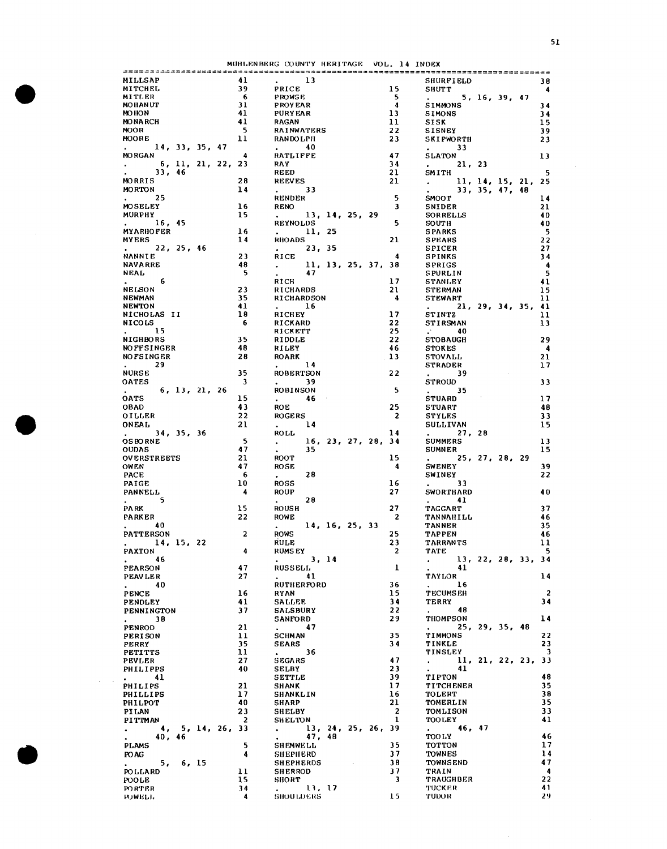MUHLENBERG COUNTY HERITAGE VOL. 14 INDEX

| MITCHEL<br>MITLER                         |               | 41             | $\sim$ 13                                                                 |                         | <b>SHURFIELD</b>                                                  |
|-------------------------------------------|---------------|----------------|---------------------------------------------------------------------------|-------------------------|-------------------------------------------------------------------|
|                                           |               | 39             | PRICE                                                                     | 15 <sub>1</sub>         | <b>SHUTT</b>                                                      |
|                                           |               | - 6            | <b>PROWSE</b>                                                             | $-5$                    | 5, 16, 39, 47                                                     |
| <b>MOHANUT</b>                            |               | 31             | <b>PROYEAR</b>                                                            | $\overline{4}$          | <b>SIMMONS</b>                                                    |
| <b>MOHON</b>                              |               | 41             | <b>PURY EAR</b>                                                           | 13                      | <b>SIMONS</b>                                                     |
| <b>MONARCH</b>                            |               | 41             | RAGAN                                                                     | 11                      | SISK                                                              |
| <b>MOOR</b>                               |               | - 5            | <b>RAINWATERS</b>                                                         | 22                      | <b>SISNEY</b>                                                     |
| <b>MOORE</b>                              |               | 11             | <b>RANDOLPH</b>                                                           | 23                      | <b>SKIPWORTH</b>                                                  |
| 14, 33, 35, 47<br>$\mathbf{L}$            |               |                | $\cdot$ 40                                                                |                         | $\mathbf{L}$ and $\mathbf{L}$<br>33                               |
| <b>MORGAN</b>                             |               | $\overline{4}$ | RATLIFFE                                                                  | 47                      | <b>SLATON</b>                                                     |
| . 6, 11, 21, 22, 23                       |               |                | RAY                                                                       | 34                      | $\mathbf{r}$ and $\mathbf{r}$<br>21, 23                           |
| 33,46<br>$\blacksquare$                   |               |                | <b>REED</b>                                                               | 21                      | SMITH                                                             |
| MORRIS                                    |               | 28             | <b>REEVES</b>                                                             | 21                      | $\ldots$ 11, 14, 15, 21, 25                                       |
| MORTON                                    |               | 14             | $\sim$ 33                                                                 |                         | $\omega_{\rm{max}}$<br>33, 35, 47, 48                             |
| 25<br><b>All Contracts</b>                |               |                | <b>RENDER</b>                                                             | 5                       | SMOOT                                                             |
| <b>MOSELEY</b>                            |               | 16             | <b>RENO</b>                                                               | -3                      |                                                                   |
|                                           |               |                |                                                                           |                         | SNIDER                                                            |
| MURPHY                                    |               | 15             | 13, 14, 25, 29                                                            | 5                       | SORRELLS                                                          |
| 16, 45<br>$\mathbf{r}$                    |               | 16             | <b>REYNOLDS</b>                                                           |                         | SOUTH                                                             |
| <b>MYARHOFER</b>                          |               |                | $\mathbf{r} = \mathbf{r}$<br>11, 25                                       |                         | <b>SPARKS</b>                                                     |
| MYERS                                     |               | 14             | <b>RHOADS</b>                                                             | 21                      | <b>SPEARS</b>                                                     |
| . 22, 25, 46                              |               |                | 23, 35<br>$\mathbf{r} = \mathbf{r}$ .                                     |                         | <b>SPICER</b>                                                     |
| <b>NANNIE</b>                             |               | 23             | RICE                                                                      | 4                       | <b>SPINKS</b>                                                     |
| <b>NAVARRE</b>                            |               | 48             | 11, 13, 25, 37, 38                                                        |                         | SPRIGS                                                            |
| NEAL                                      |               | - 5            | 47<br>$\bullet$ . The set of $\bullet$                                    |                         | SPURLIN                                                           |
| 6                                         |               |                | RICH                                                                      | 17                      | <b>STANLEY</b>                                                    |
| <b>NELSON</b>                             |               | 23             | <b>RICHARDS</b>                                                           | 21                      | <b>STERMAN</b>                                                    |
| NEWMAN                                    |               | 35             | RICHARDSON                                                                | $\frac{4}{ }$           | <b>STEWART</b>                                                    |
| NEWTON                                    |               | 41             | $\mathbf{L}$<br>16                                                        |                         | . 21, 29, 34, 35, 41                                              |
| NICHOLAS II                               |               | 18             | RICHEY                                                                    | 17                      | <b>STINTZ</b>                                                     |
| <b>NICOLS</b>                             |               | - 6            | <b>RICKARD</b>                                                            | 22                      | <b>STIRSMAN</b>                                                   |
| 15<br>$\sim$ $\sim$                       |               |                | RICKETT                                                                   | 25                      | $\cdot$ 40                                                        |
| <b>NIGHBORS</b>                           |               | 35             | RIDDLE                                                                    | 22                      | <b>STOBAUGH</b>                                                   |
| <b>NOFFSINGER</b>                         |               | 48             | RILEY                                                                     | 46                      | <b>STOKES</b>                                                     |
| <b>NO FSINGER</b>                         |               | 28             | <b>ROARK</b>                                                              | 13                      | <b>STOVALL</b>                                                    |
| $\mathbf{z}$ and $\mathbf{z}$<br>29       |               |                | $\sim$ 14                                                                 |                         | <b>STRADER</b>                                                    |
| <b>NURSE</b>                              |               | 35             | <b>ROBERTSON</b>                                                          | 22                      | $\sim$ 39                                                         |
| <b>OATES</b>                              |               | 3              | $\sim$ 39                                                                 |                         | <b>STROUD</b>                                                     |
| $\sim$                                    | 6, 13, 21, 26 |                | ROBINSON                                                                  | 5                       | $\sim$ 35                                                         |
| <b>OATS</b>                               |               | 15             | $\cdot$ 46                                                                |                         | <b>STUARD</b>                                                     |
| <b>OBAD</b>                               |               | 43             |                                                                           | 25                      |                                                                   |
|                                           |               |                | <b>ROE</b>                                                                |                         | <b>STUART</b>                                                     |
| <b>OILLER</b>                             |               | 22             | <b>ROGERS</b>                                                             | $\overline{\mathbf{2}}$ | <b>STYLES</b>                                                     |
| ONEAL                                     |               | 21             | $\sim 14$                                                                 |                         | SULLIVAN                                                          |
| 34, 35, 36<br>$\mathcal{L}^{\text{max}}$  |               |                | ROLL                                                                      | 14                      | . 27, 28                                                          |
| <b>OSBORNE</b>                            |               | - 5            | 16, 23, 27, 28, 34<br>$\frac{1}{2}$                                       |                         | <b>SUMMERS</b>                                                    |
| <b>OUDAS</b>                              |               | 47             | 35.                                                                       |                         | <b>SUMNER</b>                                                     |
| <b>OVERSTREETS</b>                        |               | 21             | <b>ROOT</b>                                                               | 15                      | 25, 27, 28, 29<br>$\mathbf{L}$                                    |
| OWEN                                      |               | 47             | <b>ROSE</b>                                                               | 4                       | <b>SWENEY</b>                                                     |
| <b>PACE</b>                               |               | 6              | 28<br>$\mathbf{r} = \mathbf{r}$                                           |                         | SWINEY                                                            |
| PAIGE                                     |               | 10             | <b>ROSS</b>                                                               | 16                      | $\sim$ 33                                                         |
| <b>PANNELL</b>                            |               | 4              | ROUP                                                                      | 27                      | <b>SWORTHARD</b>                                                  |
| $\mathbf{r}$<br>5.                        |               |                | 28<br>$\mathbf{r} = \mathbf{r}$ .                                         |                         | $\sim$ 41                                                         |
| PA RK                                     |               | 15             | <b>ROUSH</b>                                                              | 27                      | <b>TAGGART</b>                                                    |
| <b>PARKER</b>                             |               | 22             | ROWE                                                                      | $\overline{2}$          | TANNAHILL                                                         |
| $\cdot$ 40                                |               |                | 14, 16, 25, 33<br>$\bullet$ . The set of $\bullet$                        |                         | <b>TANNER</b>                                                     |
| <b>PATTERSON</b>                          |               | $\overline{a}$ | <b>ROWS</b>                                                               | 25                      | <b>TAPPEN</b>                                                     |
| 14, 15, 22                                |               |                | <b>RULE</b>                                                               | 23                      | <b>TARRANTS</b>                                                   |
| PAXTON                                    |               | 4              | <b>RUMSEY</b>                                                             | $\overline{c}$          | TATE                                                              |
| . 46                                      |               |                | . 3, 14                                                                   |                         | 13, 22, 28, 33, 34                                                |
| PEARSON                                   |               | 47             | <b>RUSSELL</b>                                                            | $\mathbf{1}$            | -41                                                               |
| <b>PEAVLER</b>                            |               | 27             | $\cdot$ 41                                                                |                         | TAYLOR                                                            |
| 40                                        |               |                | <b>RUTHERFORD</b>                                                         | 36                      | $\bullet$ .<br><br><br><br><br><br><br><br><br><br><br><br><br>16 |
| $\sim$ 100 $\sim$                         |               |                |                                                                           | 15                      |                                                                   |
| PENCE                                     |               | 16             | RYAN                                                                      |                         | <b>TECUMSEH</b>                                                   |
| <b>PENDLEY</b>                            |               | 41             | SALLEE                                                                    | 34                      | TERRY                                                             |
| PENNINGTON                                |               | 37             | <b>SALSBURY</b>                                                           | 22                      | $\sim 48$                                                         |
| . 38                                      |               |                | SANFORD                                                                   | 29                      | THOMPSON                                                          |
| PENROD                                    |               | 21             | $\cdot$ 47                                                                |                         | 25, 29, 35, 48                                                    |
| PERISON                                   |               | 11             | SCHMAN                                                                    | 35                      | TIMMONS                                                           |
| PERRY                                     |               | 35             | <b>SEARS</b>                                                              | 34                      | TINKLE                                                            |
| <b>PETITTS</b>                            |               | 11             | $\Delta \sim 10^{10}$ km s $^{-1}$<br>36                                  |                         | TINSLEY                                                           |
| PEVLER                                    |               | 27             | <b>SEGARS</b>                                                             | 47                      | 11, 21, 22, 23, 33                                                |
| PHILIPPS                                  |               | 40             | SELBY                                                                     | 23                      | $\mathbf{L}$<br>41                                                |
|                                           |               |                | <b>SETTLE</b>                                                             | 39                      | TI PTON                                                           |
|                                           |               | 21             | SHANK                                                                     | 17                      | <b>TITCHENER</b>                                                  |
| 41                                        |               | 17             | SHANKLIN                                                                  | 16                      | TOLERT                                                            |
|                                           |               | 40             | SHARP                                                                     | 21                      | TOMERLIN                                                          |
| PHILIPS<br>PHILLIPS                       |               |                |                                                                           | $\overline{a}$          |                                                                   |
| $\cdot$ $\cdot$ $\cdot$<br><b>PHILPOT</b> |               |                | <b>SHELBY</b>                                                             |                         | TOMLISON<br>TOOLEY                                                |
| PILAN                                     |               | 23             |                                                                           |                         |                                                                   |
| PITTMAN                                   |               | 2              | <b>SHELTON</b>                                                            | 1                       |                                                                   |
| 4, 5, 14, 26, 33                          |               |                | 13, 24, 25, 26, 39                                                        |                         | . 46, 47                                                          |
| 40, 46<br>$\mathbf{L}$                    |               |                | 47, 48<br>$\bullet$ .<br><br><br><br><br><br><br><br><br><br><br><br><br> |                         | TOO LY                                                            |
| PLAMS                                     |               | 5.             | SHEMWELL                                                                  | 35                      | TOTTON                                                            |
| PO AG                                     |               | 4              | SHEPHERD                                                                  | 37                      | TOWNES                                                            |
|                                           |               |                | <b>SHEPHERDS</b>                                                          | 38                      | <b>TOWNSEND</b>                                                   |
| $\mathbf{L}^{\text{max}}$<br>5, 6, 15     |               | 11             | <b>SHERROD</b>                                                            | 37                      | TRAIN                                                             |
| <b>POLLARD</b>                            |               |                | <b>SHORT</b>                                                              | $\overline{\mathbf{3}}$ |                                                                   |
| POOLE<br>PORTER.                          |               | 15<br>34       | . 13, 17                                                                  |                         | TRAUGHBER<br>TUCKER                                               |

 $\Delta \sim 1$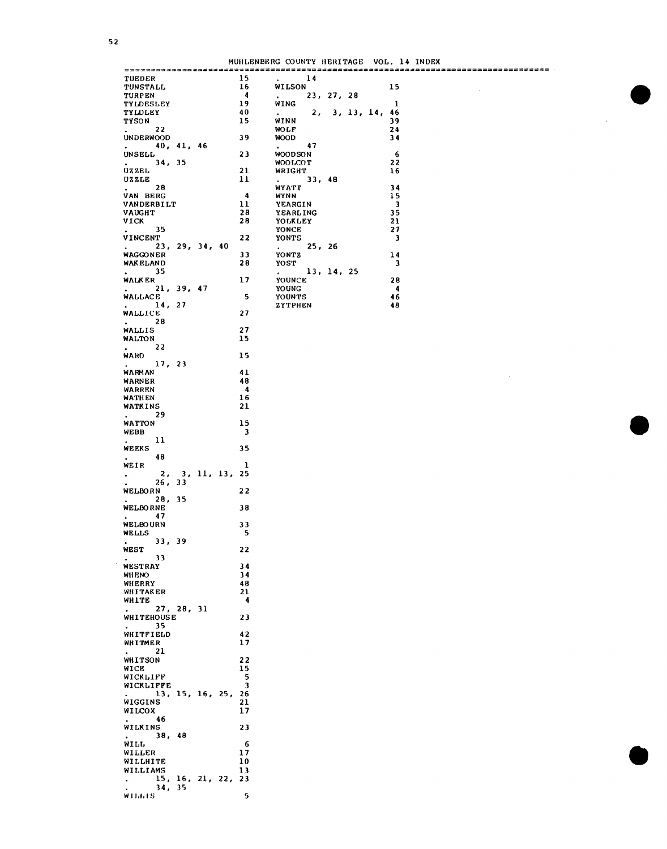MUHl,ENBlmG COUNTY HEIUTAGE VOL. 14 INDEX

|                                                               |  |                      |                                                                 |            |  |                  | MUHLENBERG COUNTY HERITAGE VOL. 14 INDEX |
|---------------------------------------------------------------|--|----------------------|-----------------------------------------------------------------|------------|--|------------------|------------------------------------------|
| TUEDER                                                        |  | 15.                  | $\mathbf{z} = \mathbf{z}$                                       | 14         |  |                  |                                          |
| <b>TUNSTALL</b>                                               |  | 16                   | WILSON                                                          |            |  |                  | 15                                       |
| <b>TURPEN</b>                                                 |  | 4                    | $\bullet$ .<br><br><br><br><br><br><br><br><br><br><br><br><br> | 23, 27, 28 |  |                  |                                          |
| <b>TYLDESLEY</b>                                              |  | 19                   | WING                                                            |            |  |                  | 1                                        |
| <b>TYLDLEY</b><br><b>TYSON</b>                                |  | 40<br>15             | $\mathbf{z}^{(n)}$ and $\mathbf{z}^{(n)}$<br>WINN               |            |  | 2, 3, 13, 14, 46 | 39                                       |
| 22<br>$\mathbf{z}$ and $\mathbf{z}$                           |  |                      | <b>MOLF</b>                                                     |            |  |                  | 24                                       |
| <b>UNDERWOOD</b>                                              |  | 39                   | <b>WOOD</b>                                                     |            |  |                  | 34                                       |
| . 40, 41, 46                                                  |  |                      | $\cdot$ 47                                                      |            |  |                  |                                          |
| <b>UNSELL</b>                                                 |  | 23                   | <b>WOODSON</b>                                                  |            |  |                  | 6                                        |
| . 34, 35                                                      |  |                      | <b>MOOLCOT</b>                                                  |            |  |                  | 22                                       |
| UZZEL<br>UZZLE                                                |  | 21<br>11             | WRIGHT<br>$\mathbf{L}^{\text{max}}$                             | 33, 48     |  |                  | 16                                       |
| 28<br>$\mathbf{a}$ and $\mathbf{a}$                           |  |                      | WYATT                                                           |            |  |                  | 34                                       |
| VAN BERG                                                      |  | $\ddot{ }$           | <b>WANN</b>                                                     |            |  |                  | 15                                       |
| VANDERBILT                                                    |  | 11                   | YEARGIN                                                         |            |  |                  | $\overline{\mathbf{3}}$                  |
| <b>VAUGHT</b>                                                 |  | 28                   | YEARLING                                                        |            |  |                  | 35                                       |
| VICK                                                          |  | 28                   | YOLKLEY                                                         |            |  |                  | 21                                       |
| 35<br>$\mathbf{r} = \mathbf{r}$ .<br>VINCENT                  |  | 22                   | YONCE<br>YONTS                                                  |            |  |                  | 27<br>$\overline{\mathbf{3}}$            |
| $\mathbf{L}$ and $\mathbf{L}$<br>23, 29, 34, 40               |  |                      | . 25, 26                                                        |            |  |                  |                                          |
| WAGGONER                                                      |  | 33                   | YONTZ                                                           |            |  |                  | 14                                       |
| <b>WAK ELAND</b>                                              |  | 28                   | YOST                                                            |            |  |                  | 3                                        |
| 35<br>$\mathbf{L}^{\text{max}}$ and $\mathbf{L}^{\text{max}}$ |  |                      | . 13, 14, 25                                                    |            |  |                  |                                          |
| <b>WALKER</b>                                                 |  | 17                   | YOUNCE                                                          |            |  |                  | 28                                       |
| . 21, 39, 47<br>WALLACE                                       |  | 5                    | YOUNG<br>YOUNTS                                                 |            |  |                  | -4<br>46                                 |
| . 14, 27                                                      |  |                      | <b>ZYTPHEN</b>                                                  |            |  |                  | 48                                       |
| <b>WALLICE</b>                                                |  | 27                   |                                                                 |            |  |                  |                                          |
| $\mathbf{r}$ and $\mathbf{r}$ and $\mathbf{r}$<br>28          |  |                      |                                                                 |            |  |                  |                                          |
| WALLIS                                                        |  | 27                   |                                                                 |            |  |                  |                                          |
| WALTON<br>$\sim 22$                                           |  | 15                   |                                                                 |            |  |                  |                                          |
| WARD                                                          |  | 15                   |                                                                 |            |  |                  |                                          |
| 17, 23                                                        |  |                      |                                                                 |            |  |                  |                                          |
| <b>WARMAN</b>                                                 |  | 41                   |                                                                 |            |  |                  |                                          |
| WARNER                                                        |  | 48                   |                                                                 |            |  |                  |                                          |
| WARREN                                                        |  | $\blacktriangleleft$ |                                                                 |            |  |                  |                                          |
| WATHEN                                                        |  | 16                   |                                                                 |            |  |                  |                                          |
| WATKINS<br>$\mathbf{L}$<br>29                                 |  | 21                   |                                                                 |            |  |                  |                                          |
| WATTON                                                        |  | 15                   |                                                                 |            |  |                  |                                          |
| WEBB                                                          |  | 3                    |                                                                 |            |  |                  |                                          |
| 11<br>$\mathbf{r}$                                            |  |                      |                                                                 |            |  |                  |                                          |
| <b>WEEKS</b>                                                  |  | 35                   |                                                                 |            |  |                  |                                          |
| 48<br>$\sim$ 100 $\sim$ 100 $\sim$                            |  |                      |                                                                 |            |  |                  |                                          |
| WEIR<br>2, 3, 11, 13, 25                                      |  | 1                    |                                                                 |            |  |                  |                                          |
| $\bullet$ . The $\bullet$<br>26, 33                           |  |                      |                                                                 |            |  |                  |                                          |
| WELBORN                                                       |  | 22                   |                                                                 |            |  |                  |                                          |
| 28, 35<br>$\mathbf{L}^{(1)}$ and $\mathbf{L}^{(2)}$           |  |                      |                                                                 |            |  |                  |                                          |
| <b>WELBORNE</b>                                               |  | 38                   |                                                                 |            |  |                  |                                          |
| $\mathbf{L}^{(1)}$ and $\mathbf{L}^{(2)}$<br>47               |  |                      |                                                                 |            |  |                  |                                          |
| <b>WELBOURN</b><br><b>WELLS</b>                               |  | 33<br>5              |                                                                 |            |  |                  |                                          |
| 33, 39                                                        |  |                      |                                                                 |            |  |                  |                                          |
| WEST                                                          |  | 22                   |                                                                 |            |  |                  |                                          |
| 33<br>$\mathbf{z}$ and $\mathbf{z}$ and $\mathbf{z}$          |  |                      |                                                                 |            |  |                  |                                          |
| WESTRAY                                                       |  | 34                   |                                                                 |            |  |                  |                                          |
| <b>WHENO</b>                                                  |  | 34<br>48             |                                                                 |            |  |                  |                                          |
| WHERRY<br>WHITAKER                                            |  | 21                   |                                                                 |            |  |                  |                                          |
| WHITE                                                         |  | 4                    |                                                                 |            |  |                  |                                          |
| $\mathbf{z}$ and $\mathbf{z}$ and $\mathbf{z}$<br>27, 28, 31  |  |                      |                                                                 |            |  |                  |                                          |
| WHITEHOUSE                                                    |  | 23                   |                                                                 |            |  |                  |                                          |
| $\sim$ 35                                                     |  |                      |                                                                 |            |  |                  |                                          |
| WHITFIELD<br>WHITMER                                          |  | 42<br>17             |                                                                 |            |  |                  |                                          |
| $\mathbf{r} = \mathbf{r}$ , $\mathbf{r} = \mathbf{r}$<br>21   |  |                      |                                                                 |            |  |                  |                                          |
| WHITSON                                                       |  | 22                   |                                                                 |            |  |                  |                                          |
| <b>WICE</b>                                                   |  | 15                   |                                                                 |            |  |                  |                                          |
| WICKLIFF                                                      |  | 5                    |                                                                 |            |  |                  |                                          |
| WICKLIFFE                                                     |  | $\mathbf{3}$         |                                                                 |            |  |                  |                                          |
| 13, 15, 16, 25, 26<br>WIGGINS                                 |  | 21                   |                                                                 |            |  |                  |                                          |
| WILCOX                                                        |  | 17                   |                                                                 |            |  |                  |                                          |
| $\cdot$ 46                                                    |  |                      |                                                                 |            |  |                  |                                          |
| WILKINS                                                       |  | 23                   |                                                                 |            |  |                  |                                          |
| . 38, 48                                                      |  |                      |                                                                 |            |  |                  |                                          |
| <b>WILL</b>                                                   |  | 6                    |                                                                 |            |  |                  |                                          |
| WILLER                                                        |  | 17<br>10             |                                                                 |            |  |                  |                                          |
| <b>WILLHITE</b><br>WILLIAMS                                   |  | 13                   |                                                                 |            |  |                  |                                          |
| 15, 16, 21, 22, 23                                            |  |                      |                                                                 |            |  |                  |                                          |
| 34, 35                                                        |  |                      |                                                                 |            |  |                  |                                          |
| <b>MITTILE</b>                                                |  | 5                    |                                                                 |            |  |                  |                                          |

52

 $\bar{z}$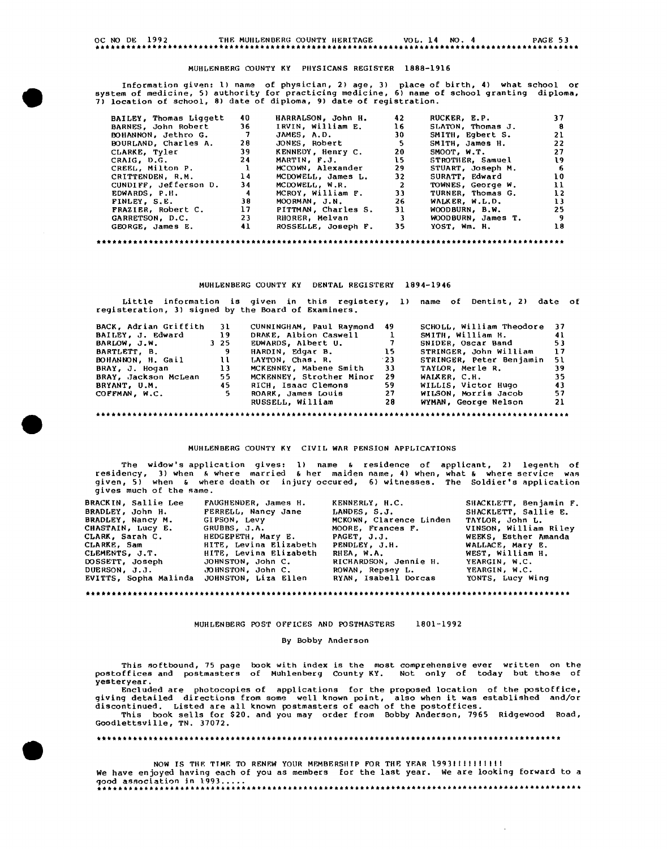### OC NO DE 1992 THF, MUHLENBERG COUNTY HERITAGE VOL. 14 NO. 4 PAGE 53

#### MUHLENBERG COUNTY KY PHYSICANS REGISTER 1888-1916

Information given: ll name of physician, 2) age, 3) place of birth, 4) what school or system of medicine, 5) authority for practicing medicine, 6) name of school granting diploma, 7) location of school, 8) date of diploma, 9) date of registration.

| BAILEY, Thomas Liggett | 40           | HARRALSON, John H.  | 42                      | RUCKER, E.P.       | 37 |
|------------------------|--------------|---------------------|-------------------------|--------------------|----|
| BARNES. John Robert    | 36.          | IRVIN. William E.   | 16                      | SLATON, Thomas J.  | 8  |
| BOHANNON, Jethro G.    | -7           | JAMES, A.D.         | 30                      | SMITH, Eqbert S.   | 21 |
| BOURLAND, Charles A.   | 28           | JONES, Robert       | -5                      | SMITH, James H.    | 22 |
| CLARKE, Tyler          | 39           | KENNEDY, Henry C.   | 20                      | SMOOT, W.T.        | 27 |
| CRAIG, D.G.            | 24           | MARTIN, F.J.        | 15                      | STROTHER, Samuel   | 19 |
| CREEL, Milton P.       | $\mathbf{r}$ | MCCOWN, Alexander   | 29                      | STUART, Joseph M.  | -6 |
| CRITTENDEN, R.M.       | 14           | MCDOWELL, James L.  | 32                      | SURATT, Edward     | 10 |
| CUNDIFF, Jefferson D.  | 34           | MCDOWELL, W.R.      | 2                       | TOWNES, George W.  | 11 |
| EDWARDS, P.H.          | 4            | MCROY, William F.   | 33 <sub>1</sub>         | TURNER, Thomas G.  | 12 |
| FINLEY, S.E.           | 38           | MOORMAN, J.N.       | 26                      | WALKER, W.L.D.     | 13 |
| FRAZIER, Robert C.     | 17           | PITTMAN, Charles S. | 31                      | WOODBURN, B.W.     | 25 |
| GARRETSON, D.C.        | 23           | RHORER, Melvan      | $\overline{\mathbf{3}}$ | WOODBURN, James T. | 9  |
| GEORGE, James E.       | 41           | ROSSELLE, Joseph F. | 35.                     | YOST, Wm. H.       | 18 |
|                        |              |                     |                         |                    |    |

#### MUHLENBERG COUNTY KY DENTAL REGISTERY 1894-1946

|                       |     | registeration, 3) signed by the Board of Examiners. |                 | Little information is given in this registery, 1) name of Dentist, 2) date of |      |
|-----------------------|-----|-----------------------------------------------------|-----------------|-------------------------------------------------------------------------------|------|
| BACK, Adrian Griffith | 31  | CUNNINGHAM, Paul Raymond                            | 49              | SCHOLL, William Theodore                                                      | - 37 |
| BAILEY, J. Edward     | 19  | DRAKE, Albion Caswell                               |                 | SMITH. William H.                                                             | 41   |
| BARLOW, J.W.          | 325 | EDWARDS, Albert U.                                  | $\sim$ 7        | SNIDER, Oscar Band                                                            | 53   |
| BARTLETT. B.          | 9   | HARDIN, Edgar B.                                    | $\overline{15}$ | STRINGER, John William                                                        | 17   |
| BOHANNON, H. Gail     | ા   | LAYTON, Chas. R.                                    | $^{\circ}23$    | STRINGER, Peter Benjamin                                                      | 51.  |
| BRAY, J. Hogan        | 13  | MCKENNEY, Mabene Smith                              | 33              | TAYLOR. Merle R.                                                              | 39   |
| BRAY, Jackson McLean  | 55  | MCKENNEY, Strother Minor                            | 29              | WALKER. C.H.                                                                  | 35   |
| BRYANT, U.M.          | 45  | RICH, Isaac Clemons                                 | 59              | WILLIS, Victor Hugo                                                           | 43   |
| COFFMAN. W.C.         | 5.  | ROARK, James Louis                                  | 27              | WILSON, Morris Jacob                                                          | 57   |
|                       |     | RUSSELL, William                                    | 28              | WYMAN, George Nelson                                                          | 21   |

MUHLENBERG COUNTY KY CIVIL WAR PENSION APPLICATIONS

The widow's application gives: 1) name & residence of applicant, 2) legenth of<br>residency, 3) when & where married & her maiden name, 4) when, what & where service was<br>given, 5) when & where death or injury occured, 6) witn gives much of the same.

| <b>BRACKIN, Sallie Lee</b> | FAUGHENDER, James H.   | KENNERLY, H.C.          | SHACKLETT, Benjamin F. |
|----------------------------|------------------------|-------------------------|------------------------|
| BRADLEY, John H.           | FERRELL, Nancy Jane    | LANDES, S.J.            | SHACKLETT, Sallie E.   |
| BRADLEY, Nancy M.          | GIPSON, Levy           | MCKOWN, Clarence Linden | TAYLOR, John L.        |
| CHASTAIN, Lucy E.          | GRUBBS, J.A.           | MOORE, Frances F.       | VINSON, William Riley  |
| CLARK, Sarah C.            | HEDGEPETH, Mary E.     | PAGET, J.J.             | WEEKS, Esther Amanda   |
| CLARKE, Sam                | HITE, Levina Elizabeth | PENDLEY. J.H.           | WALLACE, Mary E.       |
| CLEMENTS, J.T.             | HITE, Levina Elizabeth | RHEA, W.A.              | WEST, William H.       |
| DOSSETT, Joseph            | JOHNSTON, John C.      | RICHARDSON, Jennie H.   | YEARGIN, W.C.          |
| DUERSON, J.J.              | JOHNSTON, John C.      | ROWAN, Repsey L.        | YEARGIN, W.C.          |
| EVITTS, Sopha Malinda      | JOHNSTON, Liza Ellen   | RYAN, Isabell Dorcas    | YONTS, Lucy Wing       |
|                            |                        |                         |                        |

MUHLENBERG POS'r OFFICES AND POSTMASTERS 1801-1992

#### By Bobby Anderson

This softbound, 75 page book with index is the most comprehensive ever written on the<br>postoffices and postmasters of Muhlenberg County KY. Not only of today but those of **yesteryear.** 

Formulations for the proposed location of the postoffice,<br>giving detailed directions from some well known point, also when it was established and/or<br>discontinued. Listed are all known postmasters of each of the postoffices

NOW IS THE TIME TO RENEW YOUR MEMBERSHIP FOR THE YEAR 199311111111111 We have enjoyed having each of you as members for the last year. We are looking forward to a good association in 1993... ••••••••••••••••••••••••••••••••••••••••••••••••••••••••••••••••••••••••••••••••••••••••••••••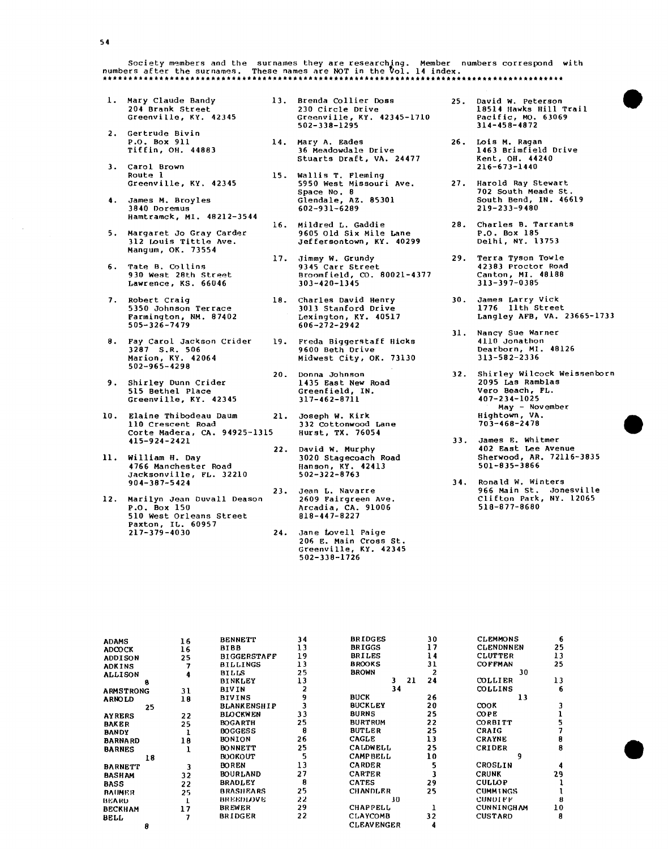Society members and the surnames they are researchJ.ng. Member numbers correspond numbers after the surnames. These names are NOT in the 'l'fol. **14** index. \*\*\*\*\*\*\*\*\*\*\*\*\*\*\*\*\*\*\*\*\*\*\*\*\*\*\*\*\*\*\*\*\*\*\*\*\*\*\*\*\*\*\*\*\*\*\*\*\*\*\*\*\*\*\*\*\*\*\*\*\*\*\*\*\*\*\*\*\*\*\*\*\*\*\*\*\*\*\*\*\*\*\*\*\*\*\*\*\*\* with

- 1. Mary Claude Bandy 13. Brenda Collier Doss 204 Brank Street Greenville, KY. 42345
- 2. Gertrude Bivin P.O. Box 911 Tiffin, OH. 44883
- 3. Carol Brown Route 1 Greenville, KY. 42345
- **4.** James **M.** Broyles 3840 Doremus Hamtramck, MI. 48212-3544
- 5. Margaret Jo Gray Carder 312 r.ouis Tittle Ave. Mangum, OK. 73554
- 6. Tate B. Collins 930 West 28th Street Lawrence, KS. 66046
- 7. Robert Craig 5350 Johnson Terrace Farmington, NM. 87402 505-326-7479
- 8. Fay Carol Jackson Crider 3287 S.R. 506 Marion, KY. 42064 502-965-4298
- 9. Shirley Dunn Crider 515 Bethel Place Greenville, KY. 42345
- 10. Elaine Thibodeau Daum 21. 110 Crescent Road Corte Madera, CA. 94925-1315 415-924-2421
- 11. William H. Day 4766 Manchester Road Jacksonville, FL. 32210 904-387-5424
- 12. Marilyn Jean Duvall Deason P.O. Box 150 510 west Orleans Street Paxton, IL. 60957 217-379-4030 24.
- 230 Circle Drive Greenville, KY. 42345-1710 502-338-1295
- 14. Mary A. Eades 36 Meadowdale Drive Stuarts Draft, VA. 24477
- 15. Wallis T. Fleming 5950 West Missouri Ave. Space No. 8 Glendale, AZ. 85301 602-931-6289
- 16. Mildred L. Gaddie 9605 Old Six Mile Lane Jeffersontown, KY. 40299
- 17. Jimmy W. Grundy 9345 Carr Street Broomfield, co. 80021-4377 303-420-1345
- 18. Charles David Henry 3013 Stanford Drive Lexington, KY. 40517 606-272-2942
- 19. Freda Biggerstaff Hicks 9600 Beth Drive Midwest city, OK. 73130
- 20. Donna Johnson 1435 East New Road Greenfield, IN. 317-462-8711
	- Joseph w. Kirk 332 Cottonwood Lane Hurst, TX. 76054
- 22. David w. Murphy 3020 Stagecoach Road Hanson, KY. 42413 502-322-8763
- 23. Jean L. Navarre 2609 Fairgreen Ave. Arcadia, CA. 91006 818-447-8227
- Jane Lovell Paige 206 E. Main Cross St. Greenville, KY. 42345 502-338-1726
- 25. David w. Peterson 18514 Hawks Hill Trail Pacific, MO. 63069 314-458-4872
- 26. Lois M. Ragan 1463 Brimfield Drive Kent, OH. 44240 216-673-1440
- 27. Harold Ray Stewart 702 South Meade St. South Bend, IN. 46619 219-233-9480
- 28. Charles B. Tarrants P.O. Box 185 Delhi, NY. 13753
- 29. Terra Tyson Towle 42383 Proctor Road Canton, MI. 48188 313-397-0385
- 30. James Larry Vick 1776 11th Street Langley AFB, VA. 23665-1733
- 31. Nancy sue Warner 4110 Jonathon Dearborn, MI. 48126 313-582-2336
- 32. Shirley Wilcock Weissenborn 2095 Las Ramblas Vero Beach, FL. 407-234-1025 May - November. Hightown, VA. 703-468-2478
- 33. James E. Whitmer 402 East Lee Avenue Sherwood, AR. 72116-3835 501-835-3866
- 34. Ronald W. Winters<br>966 Main St. Jonesville<br>Clifton Park, NY. 12065<br>518-877-8680

**e** 

| <b>ADAMS</b>     | 16 | <b>BENNETT</b>     | 34 | <b>BRIDGES</b>    | 30       | <b>CLEMMONS</b>   | 6  |
|------------------|----|--------------------|----|-------------------|----------|-------------------|----|
| <b>ADCOCK</b>    | 16 | <b>BIBB</b>        | 13 | <b>BRIGGS</b>     | 17       | <b>CLENDNNEN</b>  | 25 |
| <b>ADDISON</b>   | 25 | <b>BIGGERSTAFF</b> | 19 | <b>BRILES</b>     | 14       | <b>CLUTTER</b>    | 13 |
| <b>ADKINS</b>    |    | <b>BILLINGS</b>    | 13 | <b>BROOKS</b>     | 31       | <b>COFFMAN</b>    | 25 |
| <b>ALLISON</b>   |    | BILLS              | 25 | <b>BROWN</b>      |          | 30                |    |
| ß                |    | <b>BINKLEY</b>     | 13 | 3                 | 24<br>21 | <b>COLLIER</b>    | 13 |
| <b>ARMSTRONG</b> | 31 | BIVIN              |    | 34                |          | <b>COLLINS</b>    | 6  |
| <b>ARNOLD</b>    | 18 | BIVINS             |    | <b>BUCK</b>       | 26       | 13                |    |
| 25               |    | <b>BLANKENSHIP</b> |    | <b>BUCKLEY</b>    | 20       | <b>COOK</b>       |    |
| <b>AYRERS</b>    | 22 | <b>BLOCKWEN</b>    | 33 | <b>BURNS</b>      | 25       | <b>COPE</b>       |    |
| <b>BAKER</b>     | 25 | <b>BOGARTH</b>     | 25 | <b>BURTRUM</b>    | 22       | CORBITT           |    |
| <b>BANDY</b>     |    | <b>BOGGESS</b>     | 8  | <b>BUTLER</b>     | 25       | CRAIG             |    |
| <b>BARNARD</b>   | 18 | BONION             | 26 | <b>CAGLE</b>      | 13       | <b>CRAYNE</b>     |    |
| <b>BARNES</b>    |    | <b>BONNETT</b>     | 25 | <b>CALDWELL</b>   | 25       | CRIDER            |    |
| 18               |    | <b>BOOKOUT</b>     | 5  | <b>CAMPBELL</b>   | 10       |                   |    |
| <b>BARNETT</b>   |    | <b>BOREN</b>       | 13 | <b>CARDER</b>     |          | CROSLIN           |    |
| <b>BASHAM</b>    | 32 | <b>BOURLAND</b>    | 27 | <b>CARTER</b>     |          | <b>CRUNK</b>      | 29 |
| <b>BASS</b>      | 22 | <b>BRADLEY</b>     | 8  | <b>CATES</b>      | 29       | <b>CULLOP</b>     |    |
| <b>BAUMER</b>    | 25 | BRASHEARS          | 25 | <b>CHANDLER</b>   | 25       | <b>CUMMINGS</b>   |    |
| BEARD            |    | BREEDLOVE          | 22 | 30                |          | <b>CUNDIFF</b>    |    |
| <b>BECKHAM</b>   |    | <b>BREWER</b>      | 29 | <b>CHAPPELL</b>   |          | <b>CUNNINGHAM</b> | 10 |
| <b>BELL</b>      |    | <b>BRIDGER</b>     | 22 | <b>CLAYCOMB</b>   | 32       | <b>CUSTARD</b>    | 8  |
| 8                |    |                    |    | <b>CLEAVENGER</b> |          |                   |    |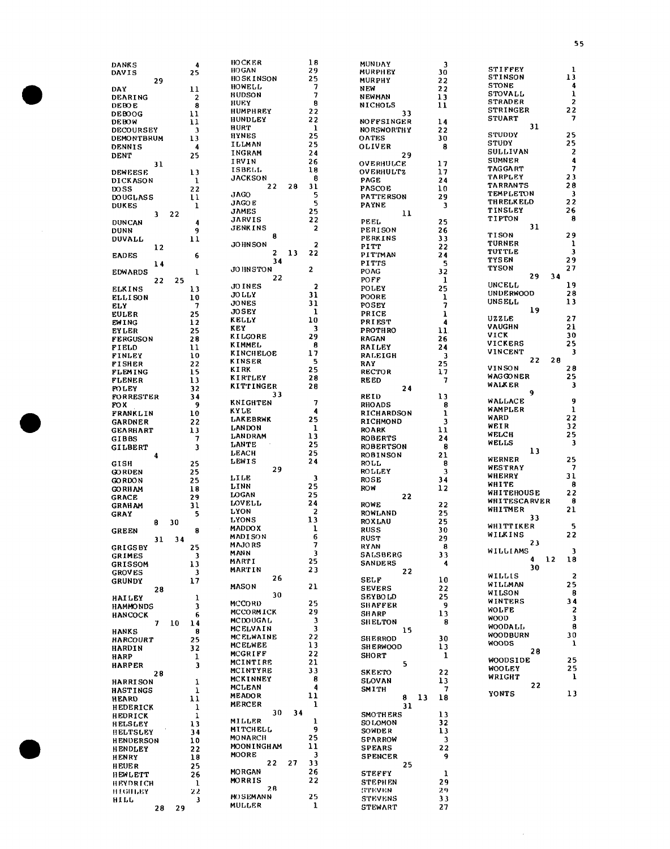|                   |                  | <b>HOCKER</b>             | 18                      | <b>MUNDAY</b>                    |                         |                   |                          |
|-------------------|------------------|---------------------------|-------------------------|----------------------------------|-------------------------|-------------------|--------------------------|
| <b>DANKS</b>      | 4                | <b>HOGAN</b>              | 29                      |                                  | $\overline{\mathbf{3}}$ | <b>STIFFEY</b>    | $\mathbf 1$              |
| DAVIS             | 25               | <b>HOSKINSON</b>          | 25                      | <b>MURPHEY</b>                   | 30                      | STINSON           | 13                       |
| 29                |                  |                           |                         | <b>MURPHY</b>                    | 22                      |                   | 4                        |
| <b>DAY</b>        | 11               | HOWELL                    | 7                       | <b>NEW</b>                       | 22                      | <b>STONE</b>      |                          |
| DEARING           | $\boldsymbol{2}$ | <b>HUDSON</b>             | 7                       | NEWMAN                           | 13                      | STOVALL           | 1                        |
| <b>DEBOE</b>      | 8                | HUEY                      | 8                       | <b>NICHOLS</b>                   | 11                      | <b>STRADER</b>    | 2                        |
|                   |                  | HUMPHREY                  | 22                      |                                  |                         | <b>STRINGER</b>   | 22                       |
| <b>DEBOOG</b>     | 11               | <b>HUNDLEY</b>            | 22                      | 33                               |                         | <b>STUART</b>     | 7                        |
| <b>DEBOW</b>      | 11               |                           |                         | <b>NOFFSINGER</b>                | 14                      |                   |                          |
| <b>DECOURSEY</b>  | 3                | HURT                      | -1                      | <b>NORSWORTHY</b>                | 22                      | 31                |                          |
| DEMONTBRUM        | 13               | <b>HYNES</b>              | 25                      | <b>OATES</b>                     | 30                      | <b>STUDDY</b>     | 25                       |
|                   |                  | ILLMAN                    | 25                      |                                  | 8                       | <b>STUDY</b>      | 25                       |
| <b>DENNIS</b>     | 4                | INGRAM                    | 24                      | <b>OLIVER</b>                    |                         | SULLIVAN          | 2                        |
| <b>DENT</b>       | 25               |                           |                         | 29                               |                         |                   |                          |
| 31                |                  | IRVIN                     | 26                      | OVERHULCE                        | 17                      | <b>SUMNER</b>     | 4                        |
| <b>DEWEESE</b>    | 13               | ISBELL                    | 18                      | <b>OVERHULTZ</b>                 | 17                      | <b>TAGGART</b>    | 7                        |
|                   |                  | <b>JACKSON</b>            | 8                       |                                  |                         | <b>TARPLEY</b>    | 23                       |
| <b>DICKASON</b>   | 1                |                           |                         | <b>PAGE</b>                      | 24                      | <b>TARRANTS</b>   | 28                       |
| <b>DOSS</b>       | 22               | 22<br>28                  | 31                      | <b>PASCOE</b>                    | 10                      |                   |                          |
| <b>DOUGLASS</b>   | 11               | <b>JAGO</b>               | 5                       | <b>PATTERSON</b>                 | 29                      | TEMPLETON         | 3                        |
| <b>DUKES</b>      | $\mathbf{I}$     | <b>JAGOE</b>              | 5                       | <b>PAYNE</b>                     | 3                       | <b>THRELKELD</b>  | 22                       |
|                   |                  | <b>JAMES</b>              | 25                      |                                  |                         | <b>TINSLEY</b>    | 26                       |
| 22<br>3           |                  | <b>JARVIS</b>             |                         | 11                               |                         | TIPTON            | 8                        |
| <b>DUNCAN</b>     | 4                |                           | 22                      | PEEL                             | 25                      |                   |                          |
| <b>DUNN</b>       | 9                | JENKINS                   | 2                       | PERISON                          | 26                      | 31                |                          |
| <b>DUVALL</b>     | 11               | 8                         |                         | PERKINS                          | 33                      | <b>TISON</b>      | 29                       |
|                   |                  | <b>JOHNSON</b>            | $\overline{2}$          |                                  | 22                      | <b>TURNER</b>     | 1                        |
| 12                |                  | 13<br>2                   | 22                      | PITT                             |                         | <b>TUTTLE</b>     | 3                        |
| <b>EADES</b>      | 6                |                           |                         | <b>PITTMAN</b>                   | 24                      |                   |                          |
| 14                |                  | 34                        |                         | <b>PITTS</b>                     | 5                       | <b>TYSEN</b>      | 29                       |
| <b>EDWARDS</b>    | 1                | <b>JOHNSTON</b>           | $\mathbf{2}$            | <b>POAG</b>                      | 32                      | TYSON             | 27                       |
|                   |                  | 22                        |                         |                                  |                         | 29<br>34          |                          |
| 22                | 25               | JO INES                   |                         | POFF                             | ı                       | <b>UNCELL</b>     | 19                       |
| <b>ELKINS</b>     | 13               |                           | $\overline{\mathbf{z}}$ | POLEY                            | 25                      |                   |                          |
| <b>ELLISON</b>    | 10               | <b>JO LLY</b>             | 31                      | POORE                            | ı                       | <b>UNDERWOOD</b>  | 28                       |
| <b>ELY</b>        | 7                | <b>JONES</b>              | 31                      | <b>POSEY</b>                     | 7                       | <b>UNSELL</b>     | 13                       |
|                   |                  | <b>JOSEY</b>              | $\mathbf{1}$            |                                  |                         | 19                |                          |
| <b>EULER</b>      | 25               |                           |                         | <b>PRICE</b>                     | ı                       | UZZLE             | 27                       |
| <b>EWING</b>      | $\frac{12}{2}$   | KELLY                     | 10                      | <b>PRIEST</b>                    | 4                       |                   |                          |
| <b>EYLER</b>      | 25               | KEY                       | 3                       | PROTHRO                          | 11                      | VAUGHN            | 21                       |
| <b>FERGUSON</b>   | 28               | KILGORE                   | 29                      | <b>RAGAN</b>                     | 26                      | VICK              | 30                       |
|                   |                  | KIMMEL                    | 8                       |                                  |                         | <b>VICKERS</b>    | 25                       |
| FIELD             | $\mathbf{11}$    |                           |                         | RAILEY                           | 24                      | VINCENT           | 3                        |
| FINLEY            | 10               | <b>KINCHELOE</b>          | 17                      | <b>RALEIGH</b>                   | 3                       |                   |                          |
| <b>FISHER</b>     | 22               | <b>KINSER</b>             | 5                       | RAY                              | 25                      | 22<br>28          |                          |
| <b>FLEMING</b>    | 15               | <b>KIRK</b>               | 25                      | <b>RECTOR</b>                    | 17                      | VINSON            | 28                       |
|                   |                  | KIRTLEY                   | 28                      |                                  |                         | WAGGONER          | 25                       |
| <b>FLENER</b>     | 13               |                           |                         | <b>REED</b>                      | 7                       | WALKER            | 3                        |
| <b>FOLEY</b>      | 32               | <b>KITTINGER</b>          | 28                      | 24                               |                         |                   |                          |
| <b>FORRESTER</b>  | 34               | 33                        |                         | REID                             | 13                      | 9                 |                          |
| FO X              | 9                | KNIGHTEN                  | 7                       | <b>RHOADS</b>                    | 8                       | <b>WALLACE</b>    | 9                        |
|                   |                  | KYLE                      | 4                       |                                  |                         | WAMPLER           | $\mathbf{1}$             |
| FRANKLIN          | 10               |                           |                         | RICHARDSON                       | ı                       | WARD              | 22                       |
| <b>GARDNER</b>    | 22               | <b>LAKEBRWK</b>           | 25                      | <b>RICHMOND</b>                  | 3                       |                   |                          |
| <b>GEARHART</b>   | 13               | <b>LANDON</b>             | 1                       | <b>ROARK</b>                     | 11                      | WEIR              | 32                       |
|                   | 7                | <b>LANDRAM</b>            | 13                      | <b>ROBERTS</b>                   | 24                      | <b>WELCH</b>      | 25                       |
| GIBBS             |                  | LANTE                     | 25                      |                                  |                         | <b>WELLS</b>      | 3                        |
|                   |                  |                           |                         |                                  |                         |                   |                          |
| <b>GILBERT</b>    | 3                |                           |                         | <b>ROBERTSON</b>                 | 8                       |                   |                          |
| 4                 |                  | LEACH                     | 25                      | <b>ROBINSON</b>                  | 21                      | 13                |                          |
|                   |                  | LEWIS                     | 24                      |                                  |                         | <b>WERNER</b>     | 25                       |
| <b>GISH</b>       | 25               |                           |                         | <b>ROLL</b>                      | 8                       | <b>WESTRAY</b>    | $\overline{\phantom{a}}$ |
| <b>GORDEN</b>     | 25               | 29                        |                         | <b>ROLLEY</b>                    | 3                       |                   |                          |
| <b>GORDON</b>     | 25               | LILE                      | 3                       | ROSE                             | 34                      | WHERRY            | 31                       |
|                   |                  | LINN                      | 25                      | <b>ROW</b>                       | 12                      | WHITE             | 8                        |
| <b>GORHAM</b>     | 18               | LOGAN                     | 25                      |                                  |                         | <b>WHITEHOUSE</b> | 22                       |
| <b>GRACE</b>      | 29               |                           |                         | 22                               |                         | WHITESCARVER      | 8                        |
| <b>GRAHAM</b>     | 31               | <b>LOVELL</b>             | 24                      | <b>ROWE</b>                      | 22                      |                   |                          |
| <b>GRAY</b>       | 5                | LYON                      | $\overline{\mathbf{2}}$ | <b>ROWLAND</b>                   | 25                      | WHITMER           | 21                       |
|                   |                  | LYONS                     | 13                      | <b>ROXLAU</b>                    | 25                      | 33                |                          |
| 8<br>30           |                  |                           |                         |                                  |                         | <b>WHITTIKER</b>  | 5                        |
| <b>GREEN</b>      | 8                | <b>MADDOX</b>             | 1                       | <b>RUSS</b>                      | 30                      | WILKINS           | 22                       |
| 31                | 34               | MADISON                   | 6                       | <b>RUST</b>                      | 29                      |                   |                          |
|                   |                  | <b>MAJORS</b>             | 7                       | RYAN                             | 8                       | 23                |                          |
| <b>GRIGSBY</b>    | 25               | <b>MANN</b>               | 3                       | <b>SALSBERG</b>                  | 33                      | WILLIAMS          | 3                        |
| <b>GRIMES</b>     | 3                | MARTI                     | 25                      |                                  |                         | 12<br>4           | -18                      |
| <b>GRISSOM</b>    | 13               |                           |                         | <b>SANDERS</b>                   | 4                       | 30                |                          |
| <b>GROVES</b>     | 3                | MARTIN                    | 23                      | 22                               |                         |                   |                          |
| <b>GRUNDY</b>     | 17               | 26                        |                         | <b>SELF</b>                      | 10                      | WILLIS            | $\overline{\mathbf{z}}$  |
|                   |                  | MASON                     | 21                      | <b>SEVERS</b>                    | 22                      | WILLMAN           | 25                       |
| 28                |                  | 30                        |                         |                                  |                         | WILSON            | 8                        |
| <b>HAILEY</b>     | 1                |                           |                         | <b>SEYBOLD</b>                   | 25                      | WINTERS           | 34                       |
| <b>HAMMONDS</b>   | 3                | <b>MCCORD</b>             | 25                      | <b>SHAFFER</b>                   | 9                       |                   |                          |
| <b>HANCOCK</b>    | 6                | <b>MCCORMICK</b>          | 29                      | <b>SHARP</b>                     | 13                      | <b>WOLFE</b>      | 2                        |
|                   |                  | <b>MCDOUGAL</b>           | 3                       | <b>SHELTON</b>                   | 8                       | <b>WOOD</b>       | 3                        |
| 10<br>7           | 14               | MCELVAIN                  | $\overline{\mathbf{3}}$ |                                  |                         | WOODALL,          | 8                        |
| HANKS             | 8                |                           |                         | 15                               |                         | WOODBURN          | 30                       |
| HARCOURT          | 25               | MCELWAINE                 | 22                      | <b>SHERROD</b>                   | 30                      |                   |                          |
| HARDIN            | 32               | <b>MCELWEE</b>            | 13                      | <b>SHERWOOD</b>                  | 13                      | <b>WOODS</b>      | 1                        |
|                   |                  | MCGRIFF                   | 22                      | <b>SHORT</b>                     | 1                       | 28                |                          |
| HARP              | ı                | MCINTIRE                  | 21                      |                                  |                         | <b>WOODSIDE</b>   | 25                       |
| <b>HARPER</b>     | 3                |                           |                         | 5                                |                         | <b>WOOLEY</b>     | 25                       |
| 28                |                  | MCINTYRE                  | 33                      | <b>SKEETO</b>                    | 22                      |                   | 1                        |
| <b>HARRISON</b>   | 1                | MCKINNEY                  | 8                       | <b>SLOVAN</b>                    | 13                      | WRIGHT            |                          |
|                   |                  | <b>MCLEAN</b>             | 4                       | <b>SMITH</b>                     | 7                       | 22                |                          |
| HASTINGS          | 1                |                           |                         |                                  |                         | YONTS             | 13                       |
| <b>HEARD</b>      | 11               | <b>MEADOR</b>             | 11                      | 13<br>8                          | 18                      |                   |                          |
| HEDERICK          | 1                | MERCER                    | 1                       | 31                               |                         |                   |                          |
|                   |                  | 30                        | 34                      | <b>SMOTHERS</b>                  | 13                      |                   |                          |
| HEDRICK           | 1                | MILLER                    | ı                       |                                  |                         |                   |                          |
| <b>HELSLEY</b>    | 13               | MITCHELL                  | 9                       | SO LOMON                         | 32                      |                   |                          |
| <b>HELTSLEY</b>   | 34               |                           |                         | SOWDER                           | 13                      |                   |                          |
| <b>HENDERSON</b>  | 10               | <b>MONARCH</b>            | 25                      | <b>SPARROW</b>                   | 3                       |                   |                          |
|                   |                  | <b>MOON INGHAM</b>        | 11                      | <b>SPEARS</b>                    | 22                      |                   |                          |
| <b>HENDLEY</b>    | 22               | MOORE                     | 3                       |                                  |                         |                   |                          |
| <b>HENRY</b>      | 18               |                           |                         | <b>SPENCER</b>                   | 9                       |                   |                          |
| <b>HEUER</b>      | 25               | 22<br>27                  | 33                      | 25                               |                         |                   |                          |
| HEWLETT           | 26               | <b>MORGAN</b>             | 26                      | <b>STEFFY</b>                    | 1                       |                   |                          |
|                   |                  | <b>MORRIS</b>             | 22                      | <b>STEPHEN</b>                   | 29                      |                   |                          |
| <b>HEYDRICH</b>   | -1               | 2 B                       |                         |                                  |                         |                   |                          |
| <b>НЕСПЪВУ</b>    | 22               |                           |                         | <b>STEVEN</b>                    | 29.                     |                   |                          |
| <b>HILL</b><br>28 | 3<br>29          | MOSEMANN<br><b>MULLER</b> | 25<br>1                 | <b>STEVENS</b><br><b>STEWART</b> | 33<br>27                |                   |                          |